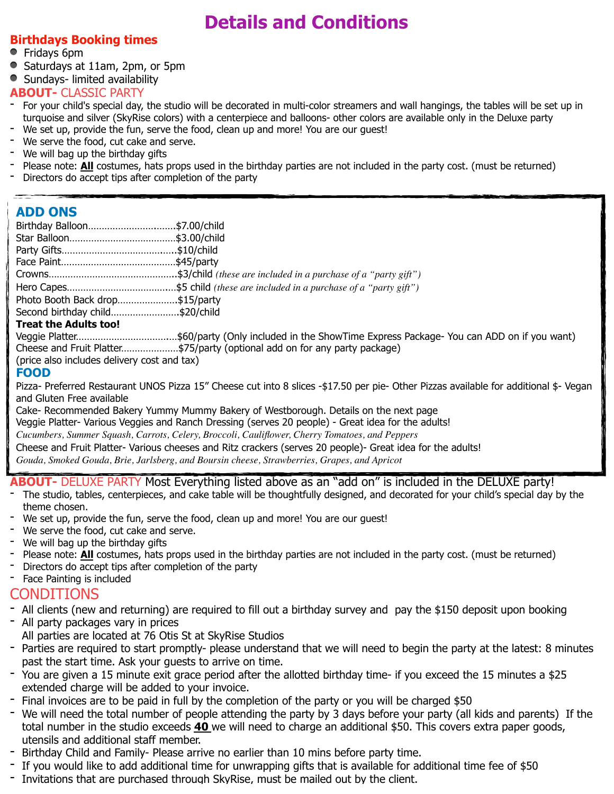# **Details and Conditions**

#### **Birthdays Booking times**

- Fridays 6pm
- Saturdays at 11am, 2pm, or 5pm

• Sundays- limited availability

- **ABOUT-** CLASSIC PARTY<br>- For your child's special day, the studio will be decorated in multi-color streamers and wall hangings, the tables will be set up in turquoise and silver (SkyRise colors) with a centerpiece and balloons- other colors are available only in the Deluxe party
- We set up, provide the fun, serve the food, clean up and more! You are our guest!
- We serve the food, cut cake and serve.
- We will bag up the birthday gifts
- Please note: **All** costumes, hats props used in the birthday parties are not included in the party cost. (must be returned)
- Directors do accept tips after completion of the party

### **ADD ONS**

| Birthday Balloon\$7.00/child                |                                                                                                      |
|---------------------------------------------|------------------------------------------------------------------------------------------------------|
|                                             |                                                                                                      |
|                                             |                                                                                                      |
|                                             |                                                                                                      |
|                                             |                                                                                                      |
|                                             |                                                                                                      |
| Photo Booth Back drop\$15/party             |                                                                                                      |
| Second birthday child\$20/child             |                                                                                                      |
| <b>Treat the Adults too!</b>                |                                                                                                      |
|                                             | Veggie Platter\$60/party (Only included in the ShowTime Express Package- You can ADD on if you want) |
|                                             | Cheese and Fruit Platter\$75/party (optional add on for any party package)                           |
| (price also includes delivery cost and tax) |                                                                                                      |

#### **FOOD**

Pizza- Preferred Restaurant UNOS Pizza 15" Cheese cut into 8 slices -\$17.50 per pie- Other Pizzas available for additional \$- Vegan and Gluten Free available

Cake- Recommended Bakery Yummy Mummy Bakery of Westborough. Details on the next page Veggie Platter- Various Veggies and Ranch Dressing (serves 20 people) - Great idea for the adults! *Cucumbers, Summer Squash, Carrots, Celery, Broccoli, Cauliflower, Cherry Tomatoes, and Peppers* Cheese and Fruit Platter- Various cheeses and Ritz crackers (serves 20 people)- Great idea for the adults! *Gouda, Smoked Gouda, Brie, Jarlsberg, and Boursin cheese, Strawberries, Grapes, and Apricot*

# **ABOUT-** DELUXE PARTY Most Everything listed above as an "add on" is included in the DELUXE party!<br>The studio, tables, centerpieces, and cake table will be thoughtfully designed, and decorated for your child's special day

- theme chosen.
- We set up, provide the fun, serve the food, clean up and more! You are our guest!
- We serve the food, cut cake and serve.
- We will bag up the birthday gifts
- Please note: **All** costumes, hats props used in the birthday parties are not included in the party cost. (must be returned)
- Directors do accept tips after completion of the party

#### Face Painting is included

#### CONDITIONS

- All clients (new and returning) are required to fill out a birthday survey and pay the \$150 deposit upon booking
- All party packages vary in prices
- All parties are located at 76 Otis St at SkyRise Studios
- Parties are required to start promptly- please understand that we will need to begin the party at the latest: 8 minutes past the start time. Ask your guests to arrive on time.
- You are given a 15 minute exit grace period after the allotted birthday time- if you exceed the 15 minutes a \$25 extended charge will be added to your invoice.
- Final invoices are to be paid in full by the completion of the party or you will be charged \$50
- We will need the total number of people attending the party by 3 days before your party (all kids and parents) If the total number in the studio exceeds **40** we will need to charge an additional \$50. This covers extra paper goods, utensils and additional staff member.
- Birthday Child and Family- Please arrive no earlier than 10 mins before party time.
- If you would like to add additional time for unwrapping gifts that is available for additional time fee of \$50
- Invitations that are purchased through SkyRise, must be mailed out by the client.